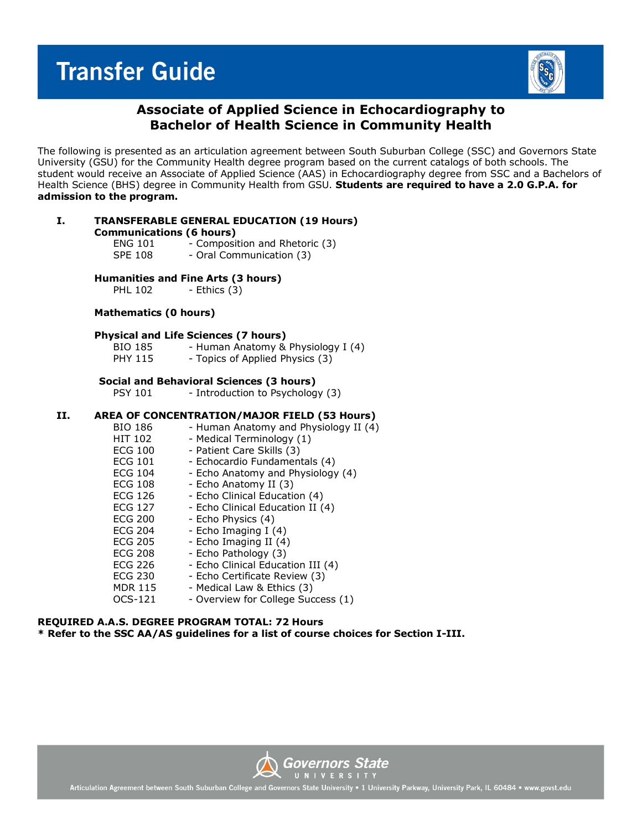# **Transfer Guide**



## **Associate of Applied Science in Echocardiography to Bachelor of Health Science in Community Health**

The following is presented as an articulation agreement between South Suburban College (SSC) and Governors State University (GSU) for the Community Health degree program based on the current catalogs of both schools. The student would receive an Associate of Applied Science (AAS) in Echocardiography degree from SSC and a Bachelors of Health Science (BHS) degree in Community Health from GSU. **Students are required to have a 2.0 G.P.A. for admission to the program.**

|  | <b>TRANSFERABLE GENERAL EDUCATION (19 Hours)</b><br><b>Communications (6 hours)</b> |                              |  |
|--|-------------------------------------------------------------------------------------|------------------------------|--|
|  |                                                                                     |                              |  |
|  | ENIC 101                                                                            | Composition and Dhotoric (2) |  |

| <b>ENG 101</b> | - Composition and Rhetoric (3) |
|----------------|--------------------------------|
| <b>SPE 108</b> | - Oral Communication (3)       |

# **Humanities and Fine Arts (3 hours)**<br>PHL 102 - Ethics (3)

- Ethics (3)

### **Mathematics (0 hours)**

### **Physical and Life Sciences (7 hours)**

| BIO 185        | - Human Anatomy & Physiology I (4) |
|----------------|------------------------------------|
| <b>PHY 115</b> | - Topics of Applied Physics (3)    |

### **Social and Behavioral Sciences (3 hours)**

PSY 101 - Introduction to Psychology (3)

### **II. AREA OF CONCENTRATION/MAJOR FIELD (53 Hours)**

| BIO 186        | - Human Anatomy and Physiology II (4) |
|----------------|---------------------------------------|
| HIT 102        | - Medical Terminology (1)             |
| <b>ECG 100</b> | - Patient Care Skills (3)             |
| <b>ECG 101</b> | - Echocardio Fundamentals (4)         |
| <b>ECG 104</b> | - Echo Anatomy and Physiology (4)     |
| ECG 108        | - Echo Anatomy II (3)                 |
| <b>ECG 126</b> | - Echo Clinical Education (4)         |
| <b>ECG 127</b> | - Echo Clinical Education II (4)      |
| <b>ECG 200</b> | - Echo Physics (4)                    |
| <b>ECG 204</b> | - Echo Imaging I (4)                  |
| <b>ECG 205</b> | - Echo Imaging II (4)                 |
| <b>ECG 208</b> | - Echo Pathology (3)                  |
| <b>ECG 226</b> | - Echo Clinical Education III (4)     |
| <b>ECG 230</b> | - Echo Certificate Review (3)         |
| <b>MDR 115</b> | - Medical Law & Ethics (3)            |
| OCS-121        | - Overview for College Success (1)    |

### **REQUIRED A.A.S. DEGREE PROGRAM TOTAL: 72 Hours \* Refer to the SSC AA/AS guidelines for a list of course choices for Section I-III.**